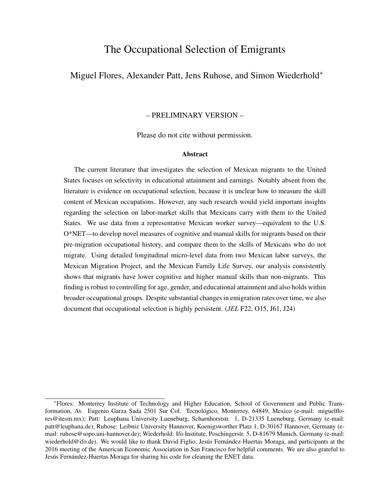# The Occupational Selection of Emigrants

# Miguel Flores, Alexander Patt, Jens Ruhose, and Simon Wiederhold<sup>∗</sup>

### – PRELIMINARY VERSION –

Please do not cite without permission.

#### Abstract

The current literature that investigates the selection of Mexican migrants to the United States focuses on selectivity in educational attainment and earnings. Notably absent from the literature is evidence on occupational selection, because it is unclear how to measure the skill content of Mexican occupations. However, any such research would yield important insights regarding the selection on labor-market skills that Mexicans carry with them to the United States. We use data from a representative Mexican worker survey—equivalent to the U.S. O\*NET—to develop novel measures of cognitive and manual skills for migrants based on their pre-migration occupational history, and compare them to the skills of Mexicans who do not migrate. Using detailed longitudinal micro-level data from two Mexican labor surveys, the Mexican Migration Project, and the Mexican Family Life Survey, our analysis consistently shows that migrants have lower cognitive and higher manual skills than non-migrants. This finding is robust to controlling for age, gender, and educational attainment and also holds within broader occupational groups. Despite substantial changes in emigration rates over time, we also document that occupational selection is highly persistent. (*JEL* F22, O15, J61, J24)

<sup>∗</sup>Flores: Monterrey Institute of Technology and Higher Education, School of Government and Public Transformation, Av. Eugenio Garza Sada 2501 Sur Col. Tecnologico, Monterrey, 64849, Mexico (e-mail: miguelflo- ´ res@itesm.mx); Patt: Leuphana University Lueneburg, Scharnhorststr. 1, D-21335 Lueneburg, Germany (e-mail: patt@leuphana.de); Ruhose: Leibniz University Hannover, Koenigsworther Platz 1, D-30167 Hannover, Germany (email: ruhose@sopo.uni-hannover.de); Wiederhold: Ifo Institute, Poschingerstr. 5, D-81679 Munich, Germany (e-mail: wiederhold@ifo.de). We would like to thank David Figlio, Jesús Fernández-Huertas Moraga, and participants at the 2016 meeting of the American Economic Association in San Francisco for helpful comments. We are also grateful to Jesús Fernández-Huertas Moraga for sharing his code for cleaning the ENET data.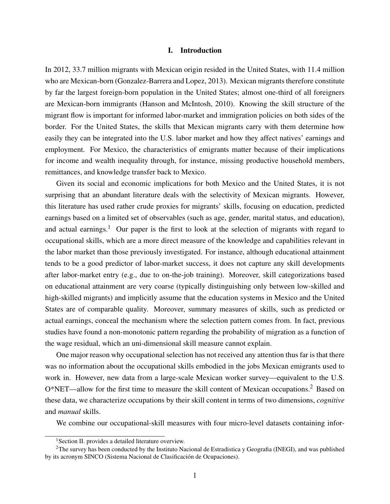#### I. Introduction

In 2012, 33.7 million migrants with Mexican origin resided in the United States, with 11.4 million who are Mexican-born (Gonzalez-Barrera and Lopez, 2013). Mexican migrants therefore constitute by far the largest foreign-born population in the United States; almost one-third of all foreigners are Mexican-born immigrants (Hanson and McIntosh, 2010). Knowing the skill structure of the migrant flow is important for informed labor-market and immigration policies on both sides of the border. For the United States, the skills that Mexican migrants carry with them determine how easily they can be integrated into the U.S. labor market and how they affect natives' earnings and employment. For Mexico, the characteristics of emigrants matter because of their implications for income and wealth inequality through, for instance, missing productive household members, remittances, and knowledge transfer back to Mexico.

Given its social and economic implications for both Mexico and the United States, it is not surprising that an abundant literature deals with the selectivity of Mexican migrants. However, this literature has used rather crude proxies for migrants' skills, focusing on education, predicted earnings based on a limited set of observables (such as age, gender, marital status, and education), and actual earnings.<sup>1</sup> Our paper is the first to look at the selection of migrants with regard to occupational skills, which are a more direct measure of the knowledge and capabilities relevant in the labor market than those previously investigated. For instance, although educational attainment tends to be a good predictor of labor-market success, it does not capture any skill developments after labor-market entry (e.g., due to on-the-job training). Moreover, skill categorizations based on educational attainment are very coarse (typically distinguishing only between low-skilled and high-skilled migrants) and implicitly assume that the education systems in Mexico and the United States are of comparable quality. Moreover, summary measures of skills, such as predicted or actual earnings, conceal the mechanism where the selection pattern comes from. In fact, previous studies have found a non-monotonic pattern regarding the probability of migration as a function of the wage residual, which an uni-dimensional skill measure cannot explain.

One major reason why occupational selection has not received any attention thus far is that there was no information about the occupational skills embodied in the jobs Mexican emigrants used to work in. However, new data from a large-scale Mexican worker survey—equivalent to the U.S. O\*NET—allow for the first time to measure the skill content of Mexican occupations.<sup>2</sup> Based on these data, we characterize occupations by their skill content in terms of two dimensions, *cognitive* and *manual* skills.

We combine our occupational-skill measures with four micro-level datasets containing infor-

<sup>&</sup>lt;sup>1</sup>Section II. provides a detailed literature overview.

 ${}^{2}$ The survey has been conducted by the Instituto Nacional de Estradistica y Geografia (INEGI), and was published by its acronym SINCO (Sistema Nacional de Clasificación de Ocupaciones).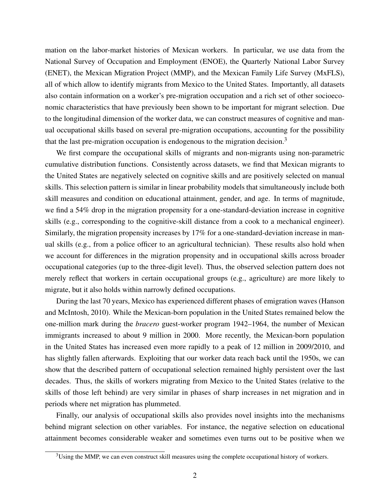mation on the labor-market histories of Mexican workers. In particular, we use data from the National Survey of Occupation and Employment (ENOE), the Quarterly National Labor Survey (ENET), the Mexican Migration Project (MMP), and the Mexican Family Life Survey (MxFLS), all of which allow to identify migrants from Mexico to the United States. Importantly, all datasets also contain information on a worker's pre-migration occupation and a rich set of other socioeconomic characteristics that have previously been shown to be important for migrant selection. Due to the longitudinal dimension of the worker data, we can construct measures of cognitive and manual occupational skills based on several pre-migration occupations, accounting for the possibility that the last pre-migration occupation is endogenous to the migration decision.<sup>3</sup>

We first compare the occupational skills of migrants and non-migrants using non-parametric cumulative distribution functions. Consistently across datasets, we find that Mexican migrants to the United States are negatively selected on cognitive skills and are positively selected on manual skills. This selection pattern is similar in linear probability models that simultaneously include both skill measures and condition on educational attainment, gender, and age. In terms of magnitude, we find a 54% drop in the migration propensity for a one-standard-deviation increase in cognitive skills (e.g., corresponding to the cognitive-skill distance from a cook to a mechanical engineer). Similarly, the migration propensity increases by 17% for a one-standard-deviation increase in manual skills (e.g., from a police officer to an agricultural technician). These results also hold when we account for differences in the migration propensity and in occupational skills across broader occupational categories (up to the three-digit level). Thus, the observed selection pattern does not merely reflect that workers in certain occupational groups (e.g., agriculture) are more likely to migrate, but it also holds within narrowly defined occupations.

During the last 70 years, Mexico has experienced different phases of emigration waves (Hanson and McIntosh, 2010). While the Mexican-born population in the United States remained below the one-million mark during the *bracero* guest-worker program 1942–1964, the number of Mexican immigrants increased to about 9 million in 2000. More recently, the Mexican-born population in the United States has increased even more rapidly to a peak of 12 million in 2009/2010, and has slightly fallen afterwards. Exploiting that our worker data reach back until the 1950s, we can show that the described pattern of occupational selection remained highly persistent over the last decades. Thus, the skills of workers migrating from Mexico to the United States (relative to the skills of those left behind) are very similar in phases of sharp increases in net migration and in periods where net migration has plummeted.

Finally, our analysis of occupational skills also provides novel insights into the mechanisms behind migrant selection on other variables. For instance, the negative selection on educational attainment becomes considerable weaker and sometimes even turns out to be positive when we

 $3U\sin g$  the MMP, we can even construct skill measures using the complete occupational history of workers.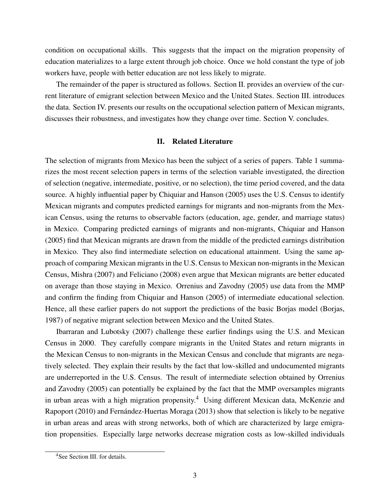condition on occupational skills. This suggests that the impact on the migration propensity of education materializes to a large extent through job choice. Once we hold constant the type of job workers have, people with better education are not less likely to migrate.

The remainder of the paper is structured as follows. Section II. provides an overview of the current literature of emigrant selection between Mexico and the United States. Section III. introduces the data. Section IV. presents our results on the occupational selection pattern of Mexican migrants, discusses their robustness, and investigates how they change over time. Section V. concludes.

### II. Related Literature

The selection of migrants from Mexico has been the subject of a series of papers. Table 1 summarizes the most recent selection papers in terms of the selection variable investigated, the direction of selection (negative, intermediate, positive, or no selection), the time period covered, and the data source. A highly influential paper by Chiquiar and Hanson (2005) uses the U.S. Census to identify Mexican migrants and computes predicted earnings for migrants and non-migrants from the Mexican Census, using the returns to observable factors (education, age, gender, and marriage status) in Mexico. Comparing predicted earnings of migrants and non-migrants, Chiquiar and Hanson (2005) find that Mexican migrants are drawn from the middle of the predicted earnings distribution in Mexico. They also find intermediate selection on educational attainment. Using the same approach of comparing Mexican migrants in the U.S. Census to Mexican non-migrants in the Mexican Census, Mishra (2007) and Feliciano (2008) even argue that Mexican migrants are better educated on average than those staying in Mexico. Orrenius and Zavodny (2005) use data from the MMP and confirm the finding from Chiquiar and Hanson (2005) of intermediate educational selection. Hence, all these earlier papers do not support the predictions of the basic Borjas model (Borjas, 1987) of negative migrant selection between Mexico and the United States.

Ibarraran and Lubotsky (2007) challenge these earlier findings using the U.S. and Mexican Census in 2000. They carefully compare migrants in the United States and return migrants in the Mexican Census to non-migrants in the Mexican Census and conclude that migrants are negatively selected. They explain their results by the fact that low-skilled and undocumented migrants are underreported in the U.S. Census. The result of intermediate selection obtained by Orrenius and Zavodny (2005) can potentially be explained by the fact that the MMP oversamples migrants in urban areas with a high migration propensity.<sup>4</sup> Using different Mexican data, McKenzie and Rapoport (2010) and Fernández-Huertas Moraga (2013) show that selection is likely to be negative in urban areas and areas with strong networks, both of which are characterized by large emigration propensities. Especially large networks decrease migration costs as low-skilled individuals

<sup>&</sup>lt;sup>4</sup>See Section III. for details.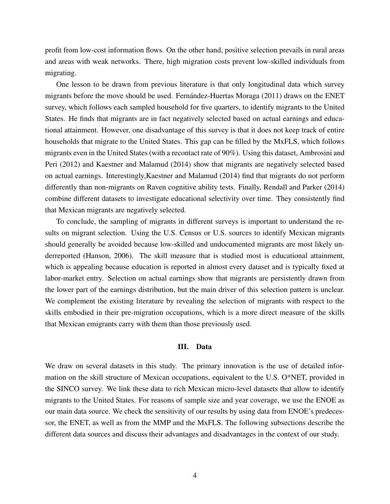profit from low-cost information flows. On the other hand, positive selection prevails in rural areas and areas with weak networks. There, high migration costs prevent low-skilled individuals from migrating.

One lesson to be drawn from previous literature is that only longitudinal data which survey migrants before the move should be used. Fernández-Huertas Moraga (2011) draws on the ENET survey, which follows each sampled household for five quarters, to identify migrants to the United States. He finds that migrants are in fact negatively selected based on actual earnings and educational attainment. However, one disadvantage of this survey is that it does not keep track of entire households that migrate to the United States. This gap can be filled by the MxFLS, which follows migrants even in the United States (with a recontact rate of 90%). Using this dataset, Ambrosini and Peri (2012) and Kaestner and Malamud (2014) show that migrants are negatively selected based on actual earnings. Interestingly,Kaestner and Malamud (2014) find that migrants do not perform differently than non-migrants on Raven cognitive ability tests. Finally, Rendall and Parker (2014) combine different datasets to investigate educational selectivity over time. They consistently find that Mexican migrants are negatively selected.

To conclude, the sampling of migrants in different surveys is important to understand the results on migrant selection. Using the U.S. Census or U.S. sources to identify Mexican migrants should generally be avoided because low-skilled and undocumented migrants are most likely underreported (Hanson, 2006). The skill measure that is studied most is educational attainment, which is appealing because education is reported in almost every dataset and is typically fixed at labor-market entry. Selection on actual earnings show that migrants are persistently drawn from the lower part of the earnings distribution, but the main driver of this selection pattern is unclear. We complement the existing literature by revealing the selection of migrants with respect to the skills embodied in their pre-migration occupations, which is a more direct measure of the skills that Mexican emigrants carry with them than those previously used.

### III. Data

We draw on several datasets in this study. The primary innovation is the use of detailed information on the skill structure of Mexican occupations, equivalent to the U.S. O\*NET, provided in the SINCO survey. We link these data to rich Mexican micro-level datasets that allow to identify migrants to the United States. For reasons of sample size and year coverage, we use the ENOE as our main data source. We check the sensitivity of our results by using data from ENOE's predecessor, the ENET, as well as from the MMP and the MxFLS. The following subsections describe the different data sources and discuss their advantages and disadvantages in the context of our study.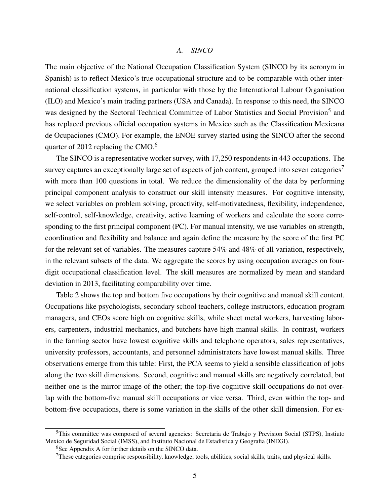#### *A. SINCO*

The main objective of the National Occupation Classification System (SINCO by its acronym in Spanish) is to reflect Mexico's true occupational structure and to be comparable with other international classification systems, in particular with those by the International Labour Organisation (ILO) and Mexico's main trading partners (USA and Canada). In response to this need, the SINCO was designed by the Sectoral Technical Committee of Labor Statistics and Social Provision<sup>5</sup> and has replaced previous official occupation systems in Mexico such as the Classification Mexicana de Ocupaciones (CMO). For example, the ENOE survey started using the SINCO after the second quarter of 2012 replacing the CMO.<sup>6</sup>

The SINCO is a representative worker survey, with 17,250 respondents in 443 occupations. The survey captures an exceptionally large set of aspects of job content, grouped into seven categories<sup>7</sup> with more than 100 questions in total. We reduce the dimensionality of the data by performing principal component analysis to construct our skill intensity measures. For cognitive intensity, we select variables on problem solving, proactivity, self-motivatedness, flexibility, independence, self-control, self-knowledge, creativity, active learning of workers and calculate the score corresponding to the first principal component (PC). For manual intensity, we use variables on strength, coordination and flexibility and balance and again define the measure by the score of the first PC for the relevant set of variables. The measures capture 54% and 48% of all variation, respectively, in the relevant subsets of the data. We aggregate the scores by using occupation averages on fourdigit occupational classification level. The skill measures are normalized by mean and standard deviation in 2013, facilitating comparability over time.

Table 2 shows the top and bottom five occupations by their cognitive and manual skill content. Occupations like psychologists, secondary school teachers, college instructors, education program managers, and CEOs score high on cognitive skills, while sheet metal workers, harvesting laborers, carpenters, industrial mechanics, and butchers have high manual skills. In contrast, workers in the farming sector have lowest cognitive skills and telephone operators, sales representatives, university professors, accountants, and personnel administrators have lowest manual skills. Three observations emerge from this table: First, the PCA seems to yield a sensible classification of jobs along the two skill dimensions. Second, cognitive and manual skills are negatively correlated, but neither one is the mirror image of the other; the top-five cognitive skill occupations do not overlap with the bottom-five manual skill occupations or vice versa. Third, even within the top- and bottom-five occupations, there is some variation in the skills of the other skill dimension. For ex-

<sup>&</sup>lt;sup>5</sup>This committee was composed of several agencies: Secretaria de Trabajo y Prevision Social (STPS), Instiuto Mexico de Seguridad Social (IMSS), and Instituto Nacional de Estadistica y Geografia (INEGI).

<sup>&</sup>lt;sup>6</sup>See Appendix A for further details on the SINCO data.

 $7$ These categories comprise responsibility, knowledge, tools, abilities, social skills, traits, and physical skills.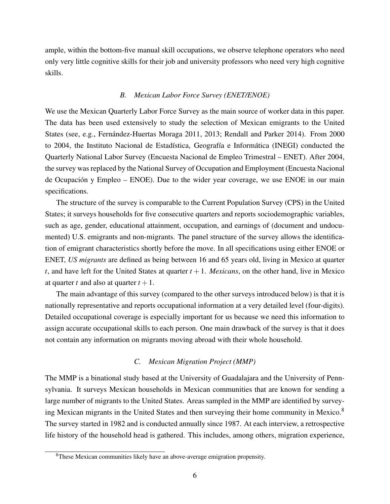ample, within the bottom-five manual skill occupations, we observe telephone operators who need only very little cognitive skills for their job and university professors who need very high cognitive skills.

## *B. Mexican Labor Force Survey (ENET/ENOE)*

We use the Mexican Quarterly Labor Force Survey as the main source of worker data in this paper. The data has been used extensively to study the selection of Mexican emigrants to the United States (see, e.g., Fernández-Huertas Moraga 2011, 2013; Rendall and Parker 2014). From 2000 to 2004, the Instituto Nacional de Estadística, Geografía e Informática (INEGI) conducted the Quarterly National Labor Survey (Encuesta Nacional de Empleo Trimestral – ENET). After 2004, the survey was replaced by the National Survey of Occupation and Employment (Encuesta Nacional de Ocupación y Empleo – ENOE). Due to the wider year coverage, we use ENOE in our main specifications.

The structure of the survey is comparable to the Current Population Survey (CPS) in the United States; it surveys households for five consecutive quarters and reports sociodemographic variables, such as age, gender, educational attainment, occupation, and earnings of (document and undocumented) U.S. emigrants and non-migrants. The panel structure of the survey allows the identification of emigrant characteristics shortly before the move. In all specifications using either ENOE or ENET, *US migrants* are defined as being between 16 and 65 years old, living in Mexico at quarter *t*, and have left for the United States at quarter  $t + 1$ . *Mexicans*, on the other hand, live in Mexico at quarter *t* and also at quarter  $t + 1$ .

The main advantage of this survey (compared to the other surveys introduced below) is that it is nationally representative and reports occupational information at a very detailed level (four-digits). Detailed occupational coverage is especially important for us because we need this information to assign accurate occupational skills to each person. One main drawback of the survey is that it does not contain any information on migrants moving abroad with their whole household.

## *C. Mexican Migration Project (MMP)*

The MMP is a binational study based at the University of Guadalajara and the University of Pennsylvania. It surveys Mexican households in Mexican communities that are known for sending a large number of migrants to the United States. Areas sampled in the MMP are identified by surveying Mexican migrants in the United States and then surveying their home community in Mexico.<sup>8</sup> The survey started in 1982 and is conducted annually since 1987. At each interview, a retrospective life history of the household head is gathered. This includes, among others, migration experience,

<sup>&</sup>lt;sup>8</sup>These Mexican communities likely have an above-average emigration propensity.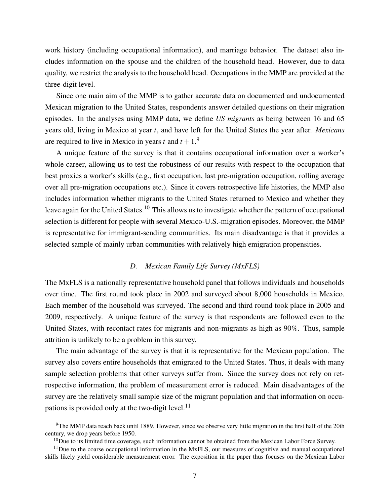work history (including occupational information), and marriage behavior. The dataset also includes information on the spouse and the children of the household head. However, due to data quality, we restrict the analysis to the household head. Occupations in the MMP are provided at the three-digit level.

Since one main aim of the MMP is to gather accurate data on documented and undocumented Mexican migration to the United States, respondents answer detailed questions on their migration episodes. In the analyses using MMP data, we define *US migrants* as being between 16 and 65 years old, living in Mexico at year *t*, and have left for the United States the year after. *Mexicans* are required to live in Mexico in years *t* and  $t + 1$ .<sup>9</sup>

A unique feature of the survey is that it contains occupational information over a worker's whole career, allowing us to test the robustness of our results with respect to the occupation that best proxies a worker's skills (e.g., first occupation, last pre-migration occupation, rolling average over all pre-migration occupations etc.). Since it covers retrospective life histories, the MMP also includes information whether migrants to the United States returned to Mexico and whether they leave again for the United States.<sup>10</sup> This allows us to investigate whether the pattern of occupational selection is different for people with several Mexico-U.S.-migration episodes. Moreover, the MMP is representative for immigrant-sending communities. Its main disadvantage is that it provides a selected sample of mainly urban communities with relatively high emigration propensities.

## *D. Mexican Family Life Survey (MxFLS)*

The MxFLS is a nationally representative household panel that follows individuals and households over time. The first round took place in 2002 and surveyed about 8,000 households in Mexico. Each member of the household was surveyed. The second and third round took place in 2005 and 2009, respectively. A unique feature of the survey is that respondents are followed even to the United States, with recontact rates for migrants and non-migrants as high as 90%. Thus, sample attrition is unlikely to be a problem in this survey.

The main advantage of the survey is that it is representative for the Mexican population. The survey also covers entire households that emigrated to the United States. Thus, it deals with many sample selection problems that other surveys suffer from. Since the survey does not rely on retrospective information, the problem of measurement error is reduced. Main disadvantages of the survey are the relatively small sample size of the migrant population and that information on occupations is provided only at the two-digit level. $^{11}$ 

 $9$ The MMP data reach back until 1889. However, since we observe very little migration in the first half of the 20th century, we drop years before 1950.

<sup>&</sup>lt;sup>10</sup>Due to its limited time coverage, such information cannot be obtained from the Mexican Labor Force Survey.

 $11$ Due to the coarse occupational information in the MxFLS, our measures of cognitive and manual occupational skills likely yield considerable measurement error. The exposition in the paper thus focuses on the Mexican Labor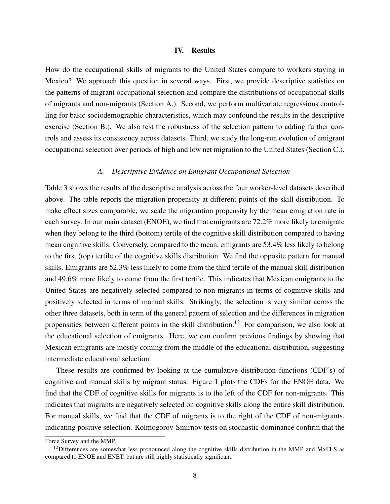#### IV. Results

How do the occupational skills of migrants to the United States compare to workers staying in Mexico? We approach this question in several ways. First, we provide descriptive statistics on the patterns of migrant occupational selection and compare the distributions of occupational skills of migrants and non-migrants (Section A.). Second, we perform multivariate regressions controlling for basic sociodemographic characteristics, which may confound the results in the descriptive exercise (Section B.). We also test the robustness of the selection pattern to adding further controls and assess its consistency across datasets. Third, we study the long-run evolution of emigrant occupational selection over periods of high and low net migration to the United States (Section C.).

## *A. Descriptive Evidence on Emigrant Occupational Selection*

Table 3 shows the results of the descriptive analysis across the four worker-level datasets described above. The table reports the migration propensity at different points of the skill distribution. To make effect sizes comparable, we scale the migrantion propensity by the mean emigration rate in each survey. In our main dataset (ENOE), we find that emigrants are 72.2% more likely to emigrate when they belong to the third (bottom) tertile of the cognitive skill distribution compared to having mean cognitive skills. Conversely, compared to the mean, emigrants are 53.4% less likely to belong to the first (top) tertile of the cognitive skills distribution. We find the opposite pattern for manual skills. Emigrants are 52.3% less likely to come from the third tertile of the manual skill distribution and 49.6% more likely to come from the first tertile. This indicates that Mexican emigrants to the United States are negatively selected compared to non-migrants in terms of cognitive skills and positively selected in terms of manual skills. Strikingly, the selection is very similar across the other three datasets, both in term of the general pattern of selection and the differences in migration propensities between different points in the skill distribution.<sup>12</sup> For comparison, we also look at the educational selection of emigrants. Here, we can confirm previous findings by showing that Mexican emigrants are mostly coming from the middle of the educational distribution, suggesting intermediate educational selection.

These results are confirmed by looking at the cumulative distribution functions (CDF's) of cognitive and manual skills by migrant status. Figure 1 plots the CDFs for the ENOE data. We find that the CDF of cognitive skills for migrants is to the left of the CDF for non-migrants. This indicates that migrants are negatively selected on cognitive skills along the entire skill distribution. For manual skills, we find that the CDF of migrants is to the right of the CDF of non-migrants, indicating positive selection. Kolmogorov-Smirnov tests on stochastic dominance confirm that the

Force Survey and the MMP.

 $12$ Differences are somewhat less pronounced along the cognitive skills distribution in the MMP and MxFLS as compared to ENOE and ENET, but are still highly statistically significant.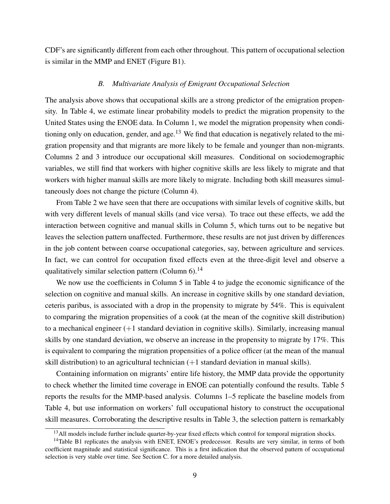CDF's are significantly different from each other throughout. This pattern of occupational selection is similar in the MMP and ENET (Figure B1).

#### *B. Multivariate Analysis of Emigrant Occupational Selection*

The analysis above shows that occupational skills are a strong predictor of the emigration propensity. In Table 4, we estimate linear probability models to predict the migration propensity to the United States using the ENOE data. In Column 1, we model the migration propensity when conditioning only on education, gender, and age.<sup>13</sup> We find that education is negatively related to the migration propensity and that migrants are more likely to be female and younger than non-migrants. Columns 2 and 3 introduce our occupational skill measures. Conditional on sociodemographic variables, we still find that workers with higher cognitive skills are less likely to migrate and that workers with higher manual skills are more likely to migrate. Including both skill measures simultaneously does not change the picture (Column 4).

From Table 2 we have seen that there are occupations with similar levels of cognitive skills, but with very different levels of manual skills (and vice versa). To trace out these effects, we add the interaction between cognitive and manual skills in Column 5, which turns out to be negative but leaves the selection pattern unaffected. Furthermore, these results are not just driven by differences in the job content between coarse occupational categories, say, between agriculture and services. In fact, we can control for occupation fixed effects even at the three-digit level and observe a qualitatively similar selection pattern (Column  $6$ ).<sup>14</sup>

We now use the coefficients in Column 5 in Table 4 to judge the economic significance of the selection on cognitive and manual skills. An increase in cognitive skills by one standard deviation, ceteris paribus, is associated with a drop in the propensity to migrate by 54%. This is equivalent to comparing the migration propensities of a cook (at the mean of the cognitive skill distribution) to a mechanical engineer  $(+1)$  standard deviation in cognitive skills). Similarly, increasing manual skills by one standard deviation, we observe an increase in the propensity to migrate by 17%. This is equivalent to comparing the migration propensities of a police officer (at the mean of the manual skill distribution) to an agricultural technician  $(+1)$  standard deviation in manual skills).

Containing information on migrants' entire life history, the MMP data provide the opportunity to check whether the limited time coverage in ENOE can potentially confound the results. Table 5 reports the results for the MMP-based analysis. Columns 1–5 replicate the baseline models from Table 4, but use information on workers' full occupational history to construct the occupational skill measures. Corroborating the descriptive results in Table 3, the selection pattern is remarkably

<sup>&</sup>lt;sup>13</sup>All models include further include quarter-by-year fixed effects which control for temporal migration shocks.

<sup>&</sup>lt;sup>14</sup>Table B1 replicates the analysis with ENET, ENOE's predecessor. Results are very similar, in terms of both coefficient magnitude and statistical significance. This is a first indication that the observed pattern of occupational selection is very stable over time. See Section C. for a more detailed analysis.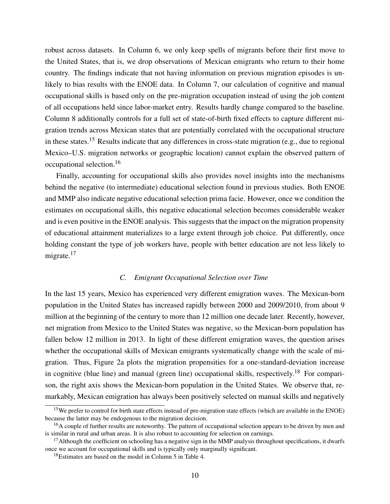robust across datasets. In Column 6, we only keep spells of migrants before their first move to the United States, that is, we drop observations of Mexican emigrants who return to their home country. The findings indicate that not having information on previous migration episodes is unlikely to bias results with the ENOE data. In Column 7, our calculation of cognitive and manual occupational skills is based only on the pre-migration occupation instead of using the job content of all occupations held since labor-market entry. Results hardly change compared to the baseline. Column 8 additionally controls for a full set of state-of-birth fixed effects to capture different migration trends across Mexican states that are potentially correlated with the occupational structure in these states.<sup>15</sup> Results indicate that any differences in cross-state migration (e.g., due to regional Mexico–U.S. migration networks or geographic location) cannot explain the observed pattern of occupational selection.<sup>16</sup>

Finally, accounting for occupational skills also provides novel insights into the mechanisms behind the negative (to intermediate) educational selection found in previous studies. Both ENOE and MMP also indicate negative educational selection prima facie. However, once we condition the estimates on occupational skills, this negative educational selection becomes considerable weaker and is even positive in the ENOE analysis. This suggests that the impact on the migration propensity of educational attainment materializes to a large extent through job choice. Put differently, once holding constant the type of job workers have, people with better education are not less likely to migrate. $17$ 

#### *C. Emigrant Occupational Selection over Time*

In the last 15 years, Mexico has experienced very different emigration waves. The Mexican-born population in the United States has increased rapidly between 2000 and 2009/2010, from about 9 million at the beginning of the century to more than 12 million one decade later. Recently, however, net migration from Mexico to the United States was negative, so the Mexican-born population has fallen below 12 million in 2013. In light of these different emigration waves, the question arises whether the occupational skills of Mexican emigrants systematically change with the scale of migration. Thus, Figure 2a plots the migration propensities for a one-standard-deviation increase in cognitive (blue line) and manual (green line) occupational skills, respectively.<sup>18</sup> For comparison, the right axis shows the Mexican-born population in the United States. We observe that, remarkably, Mexican emigration has always been positively selected on manual skills and negatively

<sup>&</sup>lt;sup>15</sup>We prefer to control for birth state effects instead of pre-migration state effects (which are available in the ENOE) because the latter may be endogenous to the migration decision.

<sup>&</sup>lt;sup>16</sup>A couple of further results are noteworthy. The pattern of occupational selection appears to be driven by men and is similar in rural and urban areas. It is also robust to accounting for selection on earnings.

 $17$ Although the coefficient on schooling has a negative sign in the MMP analysis throughout specifications, it dwarfs once we account for occupational skills and is typically only marginally significant.

<sup>&</sup>lt;sup>18</sup>Estimates are based on the model in Column 5 in Table 4.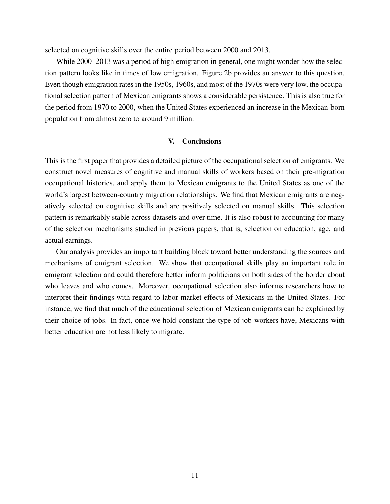selected on cognitive skills over the entire period between 2000 and 2013.

While 2000–2013 was a period of high emigration in general, one might wonder how the selection pattern looks like in times of low emigration. Figure 2b provides an answer to this question. Even though emigration rates in the 1950s, 1960s, and most of the 1970s were very low, the occupational selection pattern of Mexican emigrants shows a considerable persistence. This is also true for the period from 1970 to 2000, when the United States experienced an increase in the Mexican-born population from almost zero to around 9 million.

### V. Conclusions

This is the first paper that provides a detailed picture of the occupational selection of emigrants. We construct novel measures of cognitive and manual skills of workers based on their pre-migration occupational histories, and apply them to Mexican emigrants to the United States as one of the world's largest between-country migration relationships. We find that Mexican emigrants are negatively selected on cognitive skills and are positively selected on manual skills. This selection pattern is remarkably stable across datasets and over time. It is also robust to accounting for many of the selection mechanisms studied in previous papers, that is, selection on education, age, and actual earnings.

Our analysis provides an important building block toward better understanding the sources and mechanisms of emigrant selection. We show that occupational skills play an important role in emigrant selection and could therefore better inform politicians on both sides of the border about who leaves and who comes. Moreover, occupational selection also informs researchers how to interpret their findings with regard to labor-market effects of Mexicans in the United States. For instance, we find that much of the educational selection of Mexican emigrants can be explained by their choice of jobs. In fact, once we hold constant the type of job workers have, Mexicans with better education are not less likely to migrate.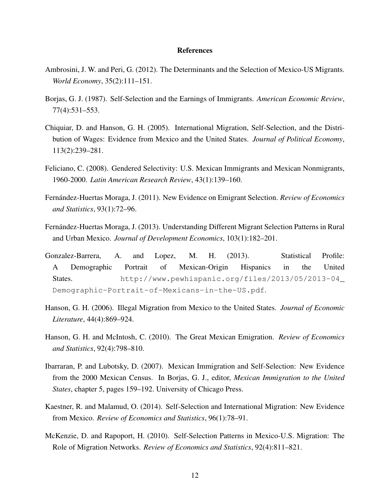#### **References**

- Ambrosini, J. W. and Peri, G. (2012). The Determinants and the Selection of Mexico-US Migrants. *World Economy*, 35(2):111–151.
- Borjas, G. J. (1987). Self-Selection and the Earnings of Immigrants. *American Economic Review*, 77(4):531–553.
- Chiquiar, D. and Hanson, G. H. (2005). International Migration, Self-Selection, and the Distribution of Wages: Evidence from Mexico and the United States. *Journal of Political Economy*, 113(2):239–281.
- Feliciano, C. (2008). Gendered Selectivity: U.S. Mexican Immigrants and Mexican Nonmigrants, 1960-2000. *Latin American Research Review*, 43(1):139–160.
- Fernández-Huertas Moraga, J. (2011). New Evidence on Emigrant Selection. *Review of Economics and Statistics*, 93(1):72–96.
- Fernández-Huertas Moraga, J. (2013). Understanding Different Migrant Selection Patterns in Rural and Urban Mexico. *Journal of Development Economics*, 103(1):182–201.
- Gonzalez-Barrera, A. and Lopez, M. H. (2013). Statistical Profile: A Demographic Portrait of Mexican-Origin Hispanics in the United States. http://www.pewhispanic.org/files/2013/05/2013-04\_ Demographic-Portrait-of-Mexicans-in-the-US.pdf.
- Hanson, G. H. (2006). Illegal Migration from Mexico to the United States. *Journal of Economic Literature*, 44(4):869–924.
- Hanson, G. H. and McIntosh, C. (2010). The Great Mexican Emigration. *Review of Economics and Statistics*, 92(4):798–810.
- Ibarraran, P. and Lubotsky, D. (2007). Mexican Immigration and Self-Selection: New Evidence from the 2000 Mexican Census. In Borjas, G. J., editor, *Mexican Immigration to the United States*, chapter 5, pages 159–192. University of Chicago Press.
- Kaestner, R. and Malamud, O. (2014). Self-Selection and International Migration: New Evidence from Mexico. *Review of Economics and Statistics*, 96(1):78–91.
- McKenzie, D. and Rapoport, H. (2010). Self-Selection Patterns in Mexico-U.S. Migration: The Role of Migration Networks. *Review of Economics and Statistics*, 92(4):811–821.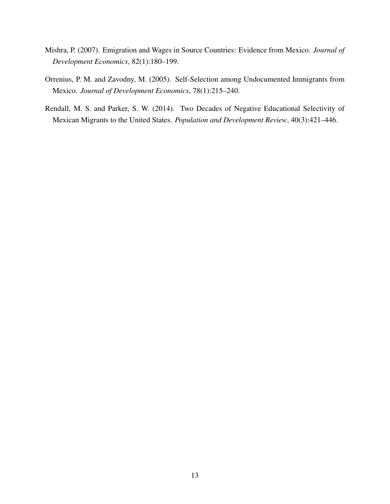- Mishra, P. (2007). Emigration and Wages in Source Countries: Evidence from Mexico. *Journal of Development Economics*, 82(1):180–199.
- Orrenius, P. M. and Zavodny, M. (2005). Self-Selection among Undocumented Immigrants from Mexico. *Journal of Development Economics*, 78(1):215–240.
- Rendall, M. S. and Parker, S. W. (2014). Two Decades of Negative Educational Selectivity of Mexican Migrants to the United States. *Population and Development Review*, 40(3):421–446.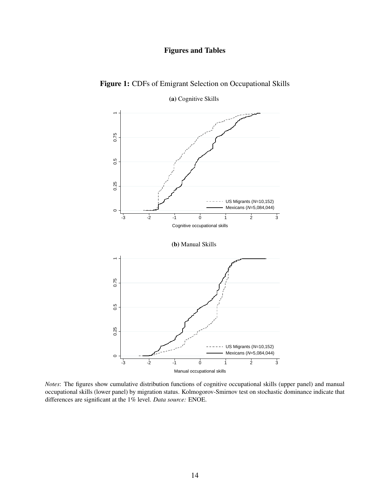# Figures and Tables



Figure 1: CDFs of Emigrant Selection on Occupational Skills

*Notes*: The figures show cumulative distribution functions of cognitive occupational skills (upper panel) and manual occupational skills (lower panel) by migration status. Kolmogorov-Smirnov test on stochastic dominance indicate that differences are significant at the 1% level. *Data source:* ENOE.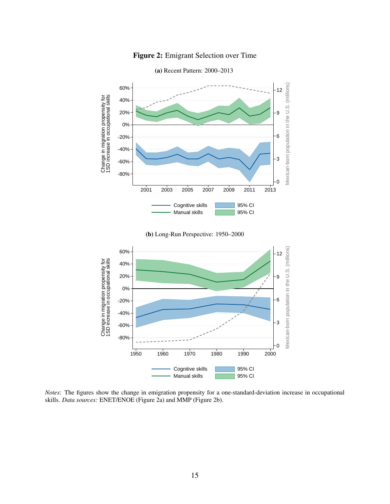

# Figure 2: Emigrant Selection over Time





*Notes*: The figures show the change in emigration propensity for a one-standard-deviation increase in occupational skills. *Data sources:* ENET/ENOE (Figure 2a) and MMP (Figure 2b).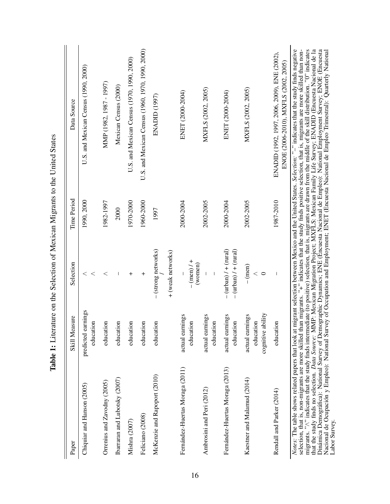| Paper                                                              | Skill Measure                                        | Selection                                            | Time Period | Data Source                                                                                                                                                                                                                                                                                                                                                                                                                                                                                                                                                                                                                                                                                                                                                                                                                                                     |
|--------------------------------------------------------------------|------------------------------------------------------|------------------------------------------------------|-------------|-----------------------------------------------------------------------------------------------------------------------------------------------------------------------------------------------------------------------------------------------------------------------------------------------------------------------------------------------------------------------------------------------------------------------------------------------------------------------------------------------------------------------------------------------------------------------------------------------------------------------------------------------------------------------------------------------------------------------------------------------------------------------------------------------------------------------------------------------------------------|
| Chiquiar and Hanson (2005)                                         | predicted earnings<br>education                      | $\,<\,$<br>$\,<$                                     | 1990, 2000  | U.S. and Mexican Census (1990, 2000)                                                                                                                                                                                                                                                                                                                                                                                                                                                                                                                                                                                                                                                                                                                                                                                                                            |
| Orrenius and Zavodny (2005)                                        | education                                            | $\,<$                                                | 1982-1997   | MMP (1982, 1987 - 1997)                                                                                                                                                                                                                                                                                                                                                                                                                                                                                                                                                                                                                                                                                                                                                                                                                                         |
| Ibarraran and Lubotsky (2007)                                      | education                                            | I                                                    | 2000        | Mexican Census (2000)                                                                                                                                                                                                                                                                                                                                                                                                                                                                                                                                                                                                                                                                                                                                                                                                                                           |
| Mishra (2007)                                                      | education                                            | $\ddot{}$                                            | 1970-2000   | U.S. and Mexican Census (1970, 1990, 2000)                                                                                                                                                                                                                                                                                                                                                                                                                                                                                                                                                                                                                                                                                                                                                                                                                      |
| Feliciano (2008)                                                   | education                                            | $\,{}^+$                                             | 1960-2000   | U.S. and Mexican Census (1960, 1970, 1990, 2000)                                                                                                                                                                                                                                                                                                                                                                                                                                                                                                                                                                                                                                                                                                                                                                                                                |
| McKenzie and Rapoport (2010)                                       | education                                            | - (strong networks)<br>+ (weak networks)             | 1997        | ENADID (1997)                                                                                                                                                                                                                                                                                                                                                                                                                                                                                                                                                                                                                                                                                                                                                                                                                                                   |
|                                                                    |                                                      |                                                      |             |                                                                                                                                                                                                                                                                                                                                                                                                                                                                                                                                                                                                                                                                                                                                                                                                                                                                 |
| Fernández-Huertas Moraga (2011)                                    | actual earnings<br>education                         | $-(men)/+$<br>(women)                                | 2000-2004   | ENET (2000-2004)                                                                                                                                                                                                                                                                                                                                                                                                                                                                                                                                                                                                                                                                                                                                                                                                                                                |
| Ambrosini and Peri (2012)                                          | actual earnings<br>education                         |                                                      | 2002-2005   | MXFLS (2002, 2005)                                                                                                                                                                                                                                                                                                                                                                                                                                                                                                                                                                                                                                                                                                                                                                                                                                              |
| Fernández-Huertas Moraga (2013)                                    | actual earnings<br>education                         | $-(urban)$ / $+(rural)$<br>$-$ (urban) $/ +$ (rural) | 2000-2004   | ENET (2000-2004)                                                                                                                                                                                                                                                                                                                                                                                                                                                                                                                                                                                                                                                                                                                                                                                                                                                |
| Kaestner and Malamud (2014)                                        | ability<br>actual earnings<br>education<br>cognitive | $-(men)$<br>$\lt$<br>$\circ$                         | 2002-2005   | MXFLS (2002, 2005)                                                                                                                                                                                                                                                                                                                                                                                                                                                                                                                                                                                                                                                                                                                                                                                                                                              |
| Rendall and Parker (2014)                                          | education                                            |                                                      | 1987-2010   | ENADID (1992, 1997, 2006, 2009), ENE (2002),<br>ENOE (2006-2010), MXFLS (2002, 2005)                                                                                                                                                                                                                                                                                                                                                                                                                                                                                                                                                                                                                                                                                                                                                                            |
| selection, that is, non-migrants are more skilled<br>Labor Survey. |                                                      |                                                      |             | migrants. " <sup>N</sup> " indicates that the study finds intermediate (to positive) selection, that is, migrants are drawn from the middle of the skill distribution. "O" indicates<br>that the study finds no selection. <i>Data Source: MMP</i><br>Notes: The table shows related papers that look at migrant selection between Mexico and the United States. Selection: "-" indicates that the study finds negative<br>Dinámica Demográfica): National Survey of Demographic Dynamics; ENE (Encuesta Nacional de Empleo): National Employment Survey; ENOE (Encuesta<br>than migrants. " <sup>+</sup> " indicates that the study finds positive selection, that is, migrants are more skilled than non-<br>Nacional de Ocupación y Empleo): National Survey of Occupation and Employment; ENET (Encuesta Nacional de Empleo Trimestral): Quarterly National |

Table 1: Literature on the Selection of Mexican Migrants to the United States Table 1: Literature on the Selection of Mexican Migrants to the United States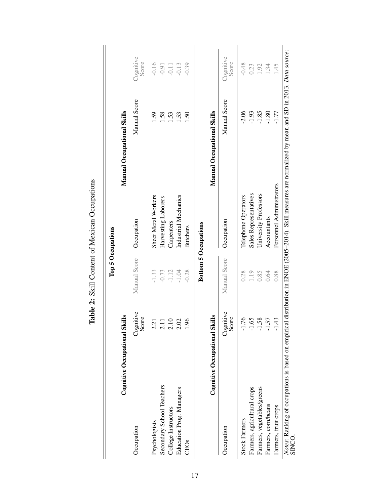| Cognitive Occupational S    | <b>SIIN</b>        |              |                             | <b>Manual Occupational Skills</b> |                    |
|-----------------------------|--------------------|--------------|-----------------------------|-----------------------------------|--------------------|
| Occupation                  | Cognitive<br>Score | Manual Score | Occupation                  | Manual Score                      | Cognitive<br>Score |
| Psychologists               | $\ddot{5}$         | $-1.33$      | Sheet Metal Workers         | .59                               | $-0.16$            |
| Secondary School Teachers   | 2.11               | $-0.73$      | Harvesting Laborers         | 1.58                              | $-0.91$            |
| College Instructors         | 2.10               | $-1.12$      | Carpenters                  | <b>1.53</b>                       | $-0.11$            |
| Education Prog. Managers    | 2.02               | $-1.04$      | Industrial Mechanics        | 1.53                              | $-0.13$            |
| <b>CEOs</b>                 | 96.                | $-0.28$      | <b>Butchers</b>             | $\overline{50}$                   | $-0.39$            |
| Cognitive Occupational S    | <b>SIIR</b>        |              | <b>Bottom 5 Occupations</b> | <b>Manual Occupational Skills</b> |                    |
| Occupation                  | Cognitive<br>Score | Manual Score | Occupation                  | Manual Score                      | Cognitive<br>Score |
| <b>Stock Farmers</b>        | .76<br>╦           | 0.28         | Telephone Operators         | $-2.06$                           | $-0.48$            |
| Farmers, agricultural crops | $\ddot{9}$<br>ᅮ    | 1.19         | Sales Representatives       | $-1.93$                           | 0.23               |
| Farmers, vegetables/greens  | 58.<br>ᅮ           | 0.85         | University Professors       | $-1.85$                           | 1.92               |
| Farmers, corn/beans         | 57<br>고            | 0.64         | Accountants                 | $-1.80$                           | 1.34               |
| Farmers, fruit crops        | 43                 | 0.88         | Personnel Administrators    | $-1.77$                           | $-45$              |

Table 2: Skill Content of Mexican Occupations Table 2: Skill Content of Mexican Occupations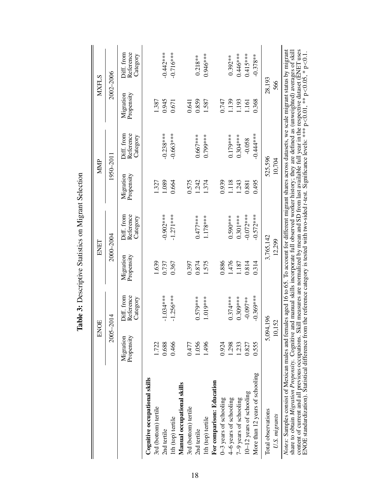|                                                                                                                                                                                                                                                                                                                                                                                                                                                                                                                                                                                                                                                                        |                         | ENOE                                |                         | ENET                                |                         | MMP                                 | <b>MXFLS</b>            |                                     |
|------------------------------------------------------------------------------------------------------------------------------------------------------------------------------------------------------------------------------------------------------------------------------------------------------------------------------------------------------------------------------------------------------------------------------------------------------------------------------------------------------------------------------------------------------------------------------------------------------------------------------------------------------------------------|-------------------------|-------------------------------------|-------------------------|-------------------------------------|-------------------------|-------------------------------------|-------------------------|-------------------------------------|
|                                                                                                                                                                                                                                                                                                                                                                                                                                                                                                                                                                                                                                                                        | $2005 -$                | $-2014$                             |                         | 2000-2004                           |                         | 1950–2011                           | 2002-2006               |                                     |
|                                                                                                                                                                                                                                                                                                                                                                                                                                                                                                                                                                                                                                                                        | Propensity<br>Migration | Diff. from<br>Reference<br>Category | Migration<br>Propensity | Diff. from<br>Reference<br>Category | Propensity<br>Migration | Diff. from<br>Reference<br>Category | Propensity<br>Migration | Diff. from<br>Reference<br>Category |
| Cognitive occupational skills                                                                                                                                                                                                                                                                                                                                                                                                                                                                                                                                                                                                                                          |                         |                                     |                         |                                     |                         |                                     |                         |                                     |
| 3rd (bottom) tertile                                                                                                                                                                                                                                                                                                                                                                                                                                                                                                                                                                                                                                                   | 1.722                   |                                     | 1.639                   |                                     | 1.327                   |                                     | 1.387                   |                                     |
| 2nd tertile                                                                                                                                                                                                                                                                                                                                                                                                                                                                                                                                                                                                                                                            | 0.688                   | $-1.034***$                         | 0.737                   | $-0.902***$                         | 1.089                   | $-0.238***$                         | 0.945                   | $-0.442***$                         |
| 1th (top) tertile                                                                                                                                                                                                                                                                                                                                                                                                                                                                                                                                                                                                                                                      | 0.466                   | $-1.256***$                         | 0.367                   | $-1.271***$                         | 0.664                   | $-0.663***$                         | 0.671                   | $-0.716***$                         |
| Manual occupational skills                                                                                                                                                                                                                                                                                                                                                                                                                                                                                                                                                                                                                                             |                         |                                     |                         |                                     |                         |                                     |                         |                                     |
| 3rd (bottom) tertile                                                                                                                                                                                                                                                                                                                                                                                                                                                                                                                                                                                                                                                   | 0.477                   |                                     | 0.397                   |                                     | 0.575                   |                                     | 0.641                   |                                     |
| 2nd tertile                                                                                                                                                                                                                                                                                                                                                                                                                                                                                                                                                                                                                                                            | 1.056                   | $0.579***$                          | 0.874                   | $0.477***$                          | 1.242                   | $0.667***$                          | 0.859                   | $0.218**$                           |
| 1th (top) tertile                                                                                                                                                                                                                                                                                                                                                                                                                                                                                                                                                                                                                                                      | 1.496                   | $1.019***$                          | 1.575                   | 1.178***                            | 1.374                   | 0.799***                            | 1.587                   | 0.946***                            |
| For comparison: Education                                                                                                                                                                                                                                                                                                                                                                                                                                                                                                                                                                                                                                              |                         |                                     |                         |                                     |                         |                                     |                         |                                     |
| 0-3 years of schooling                                                                                                                                                                                                                                                                                                                                                                                                                                                                                                                                                                                                                                                 | 0.924                   |                                     | 0.886                   |                                     | 0.939                   |                                     | 0.747                   |                                     |
| 4–6 years of schooling                                                                                                                                                                                                                                                                                                                                                                                                                                                                                                                                                                                                                                                 | 1.298                   | $0.374***$                          | 1.476                   | $0.590***$                          | 1.118                   | $0.179***$                          | 1.139                   | $0.392***$                          |
| 7-9 years of schooling                                                                                                                                                                                                                                                                                                                                                                                                                                                                                                                                                                                                                                                 | 1.233                   | $0.309***$                          | 1.187                   | $0.301***$                          | 1.243                   | $0.304***$                          | 1.193                   | 0.446***                            |
| 10–12 years of schooling                                                                                                                                                                                                                                                                                                                                                                                                                                                                                                                                                                                                                                               | 0.827                   | $-0.097**$                          | 0.814                   | $-0.072***$                         | 0.881                   | $-0.058$                            | 1.161                   | $0.415***$                          |
| More than 12 years of schooling                                                                                                                                                                                                                                                                                                                                                                                                                                                                                                                                                                                                                                        | 0.555                   | $-0.369***$                         | 0.314                   | $-0.572***$                         | 0.495                   | $-0.444***$                         | 0.368                   | $-0.378**$                          |
| Total observations                                                                                                                                                                                                                                                                                                                                                                                                                                                                                                                                                                                                                                                     |                         | 5,094,196                           |                         | 3,765,142                           |                         | 525,596                             | 28,193                  |                                     |
| U.S. migrants                                                                                                                                                                                                                                                                                                                                                                                                                                                                                                                                                                                                                                                          | 10,1                    | 52                                  |                         | 12,299                              |                         | 10,704                              | 566                     |                                     |
| content of current and all previous occupations. Skill measures are normalized by mean and SD from last available full year in the respective dataset (ENET uses<br>Notes: Samples consist of Mexican males and females aged 16 to 65. To account for different migrant shares across datasets, we scale migrant status by migrant<br>share to obtain <i>Migration Propensity</i> . Cognitive and manual skills incorporate full observed worker history; they are defined as (unweighted) averages of skill<br>ENOE standardization). Statistical difference from the reference category is tested with two-sided t-test. Significance levels: **** p<0.0.05, * p<0.1 |                         |                                     |                         |                                     |                         |                                     |                         |                                     |

Table 3: Descriptive Statistics on Migrant Selection Table 3: Descriptive Statistics on Migrant Selection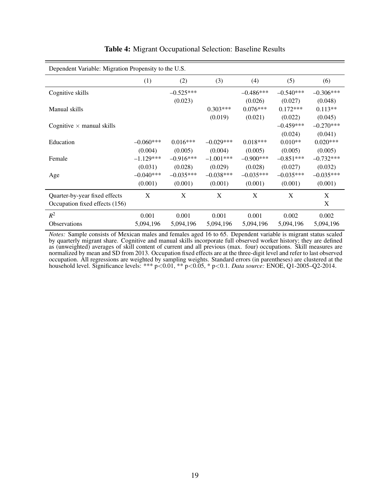| Dependent Variable: Migration Propensity to the U.S. |             |             |             |              |             |             |
|------------------------------------------------------|-------------|-------------|-------------|--------------|-------------|-------------|
|                                                      | (1)         | (2)         | (3)         | (4)          | (5)         | (6)         |
| Cognitive skills                                     |             | $-0.525***$ |             | $-0.486***$  | $-0.540***$ | $-0.306***$ |
|                                                      |             | (0.023)     |             | (0.026)      | (0.027)     | (0.048)     |
| Manual skills                                        |             |             | $0.303***$  | $0.076***$   | $0.172***$  | $0.113**$   |
|                                                      |             |             | (0.019)     | (0.021)      | (0.022)     | (0.045)     |
| Cognitive $\times$ manual skills                     |             |             |             |              | $-0.459***$ | $-0.270***$ |
|                                                      |             |             |             |              | (0.024)     | (0.041)     |
| Education                                            | $-0.060***$ | $0.016***$  | $-0.029***$ | $0.018***$   | $0.010**$   | $0.020***$  |
|                                                      | (0.004)     | (0.005)     | (0.004)     | (0.005)      | (0.005)     | (0.005)     |
| Female                                               | $-1.129***$ | $-0.916***$ | $-1.001***$ | $-0.900$ *** | $-0.851***$ | $-0.732***$ |
|                                                      | (0.031)     | (0.028)     | (0.029)     | (0.028)      | (0.027)     | (0.032)     |
| Age                                                  | $-0.040***$ | $-0.035***$ | $-0.038***$ | $-0.035***$  | $-0.035***$ | $-0.035***$ |
|                                                      | (0.001)     | (0.001)     | (0.001)     | (0.001)      | (0.001)     | (0.001)     |
| Quarter-by-year fixed effects                        | X           | X           | X           | X            | X           | X           |
| Occupation fixed effects (156)                       |             |             |             |              |             | X           |
| $R^2$                                                | 0.001       | 0.001       | 0.001       | 0.001        | 0.002       | 0.002       |
| <b>Observations</b>                                  | 5,094,196   | 5,094,196   | 5,094,196   | 5,094,196    | 5,094,196   | 5,094,196   |

# Table 4: Migrant Occupational Selection: Baseline Results

*Notes:* Sample consists of Mexican males and females aged 16 to 65. Dependent variable is migrant status scaled by quarterly migrant share. Cognitive and manual skills incorporate full observed worker history; they are defined as (unweighted) averages of skill content of current and all previous (max. four) occupations. Skill measures are normalized by mean and SD from 2013. Occupation fixed effects are at the three-digit level and refer to last observed occupation. All regressions are weighted by sampling weights. Standard errors (in parentheses) are clustered at the household level. Significance levels: \*\*\* p<0.01, \*\* p<0.05, \* p<0.1. *Data source:* ENOE, Q1-2005–Q2-2014.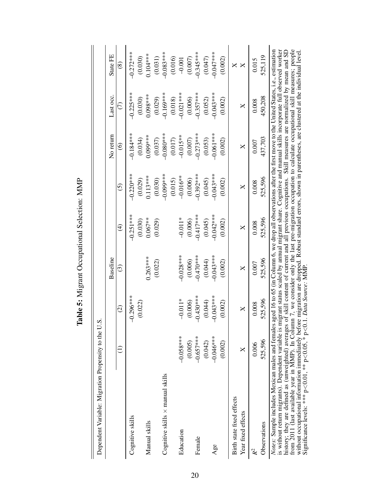| Dependent Variable: Migration Propensity to the                                                                                                                                                                                                                                                                                                                                                                                                                                                                                                                                                                                                                                                                                      |             | U.S.               |              |             |              |             |                 |               |
|--------------------------------------------------------------------------------------------------------------------------------------------------------------------------------------------------------------------------------------------------------------------------------------------------------------------------------------------------------------------------------------------------------------------------------------------------------------------------------------------------------------------------------------------------------------------------------------------------------------------------------------------------------------------------------------------------------------------------------------|-------------|--------------------|--------------|-------------|--------------|-------------|-----------------|---------------|
|                                                                                                                                                                                                                                                                                                                                                                                                                                                                                                                                                                                                                                                                                                                                      |             |                    | Baseline     |             |              | No return   | Last occ.       | State FE      |
|                                                                                                                                                                                                                                                                                                                                                                                                                                                                                                                                                                                                                                                                                                                                      | Ξ           | $\widehat{\varpi}$ | $\odot$      | $\bigoplus$ | $\odot$      | $\odot$     | $\widehat{\in}$ | $\circledast$ |
| Cognitive skills                                                                                                                                                                                                                                                                                                                                                                                                                                                                                                                                                                                                                                                                                                                     |             | $-0.296***$        |              | $-0.251***$ | $-0.220***$  | $-0.184***$ | $-0.225***$     | $-0.272***$   |
|                                                                                                                                                                                                                                                                                                                                                                                                                                                                                                                                                                                                                                                                                                                                      |             | (0.022)            |              | (0.030)     | (0.029)      | (0.034)     | (0.030)         | (0.030)       |
| Manual skills                                                                                                                                                                                                                                                                                                                                                                                                                                                                                                                                                                                                                                                                                                                        |             |                    | $0.263***$   | $0.067***$  | $0.113***$   | $0.099***$  | $0.098***$      | $0.104***$    |
|                                                                                                                                                                                                                                                                                                                                                                                                                                                                                                                                                                                                                                                                                                                                      |             |                    | (0.022)      | (0.029)     | (0.030)      | (0.037)     | (0.029)         | (0.031)       |
| Cognitive skills $\times$ manual skills                                                                                                                                                                                                                                                                                                                                                                                                                                                                                                                                                                                                                                                                                              |             |                    |              |             | $-0.099$ *** | $-0.080$    | $-0.169***$     | $-0.083***$   |
|                                                                                                                                                                                                                                                                                                                                                                                                                                                                                                                                                                                                                                                                                                                                      |             |                    |              |             | (0.015)      | (0.017)     | (0.018)         | (0.016)       |
| Education                                                                                                                                                                                                                                                                                                                                                                                                                                                                                                                                                                                                                                                                                                                            | $-0.058***$ | $-0.011*$          | $-0.028***$  | $-0.011*$   | $-0.016**$   | $-0.015**$  | $-0.021***$     | $-0.001$      |
|                                                                                                                                                                                                                                                                                                                                                                                                                                                                                                                                                                                                                                                                                                                                      | (0.005)     | (0.006)            | (0.006)      | (0.006)     | (0.006)      | (0.007)     | (0.006)         | (0.007)       |
| Female                                                                                                                                                                                                                                                                                                                                                                                                                                                                                                                                                                                                                                                                                                                               | $-0.657***$ | $-0.430***$        | $-0.470$ *** | $-0.417***$ | $-0.392***$  | $-0.273***$ | $-0.357***$     | $-0.345***$   |
|                                                                                                                                                                                                                                                                                                                                                                                                                                                                                                                                                                                                                                                                                                                                      | (0.042)     | (0.044)            | (0.044)      | (0.045)     | (0.045)      | (0.053)     | (0.052)         | (0.047)       |
| Age                                                                                                                                                                                                                                                                                                                                                                                                                                                                                                                                                                                                                                                                                                                                  | $-0.046***$ | $-0.043***$        | $-0.043***$  | $-0.042***$ | $-0.043***$  | $-0.061***$ | $-0.043***$     | $-0.047***$   |
|                                                                                                                                                                                                                                                                                                                                                                                                                                                                                                                                                                                                                                                                                                                                      | (0.002)     | (0.002)            | (0.002)      | (0.002)     | (0.002)      | (0.002)     | (0.002)         | (0.002)       |
| Birth state fixed effects                                                                                                                                                                                                                                                                                                                                                                                                                                                                                                                                                                                                                                                                                                            |             |                    |              |             |              |             |                 | ×             |
| Year fixed effects                                                                                                                                                                                                                                                                                                                                                                                                                                                                                                                                                                                                                                                                                                                   | ×           | ×                  | ×            | ×           | ×            | ×           | ×               | ×             |
|                                                                                                                                                                                                                                                                                                                                                                                                                                                                                                                                                                                                                                                                                                                                      | 0.006       | 0.008              | 0.007        | 0.008       | 0.008        | 0.007       | 0.008           | 0.015         |
| Observations                                                                                                                                                                                                                                                                                                                                                                                                                                                                                                                                                                                                                                                                                                                         | 525,596     | 525,596            | 525,596      | 525,596     | 525,596      | 437,703     | 450,208         | 525,119       |
| from 2011 (last available year in MMP). In Column 7, we consider only the last pre-migration occupation to calculate occupational skill measures; people<br>Notes: Sample includes Mexican males and females aged 16 to 65 (in Column 6, we drop all observations after the first move to the United States, i.e., estimation<br>is without return migrants). Dependent variable is migrant status scaled by annual migrant share. Cognitive and manual skills incorporate full observed worker<br>history; they are defined as (unweighted) averages of skill con<br>without occupational information immediately before migration are dropped. Robust standard errors, shown in parentheses, are clustered at the individual level |             |                    |              |             |              |             |                 |               |
| Significance levels: *** $p<0.01$ , ** $p<0.05$ , * $p<0.1$ . <i>Data Source</i> : MMP.                                                                                                                                                                                                                                                                                                                                                                                                                                                                                                                                                                                                                                              |             |                    |              |             |              |             |                 |               |

Table 5: Migrant Occupational Selection: MMP Table 5: Migrant Occupational Selection: MMP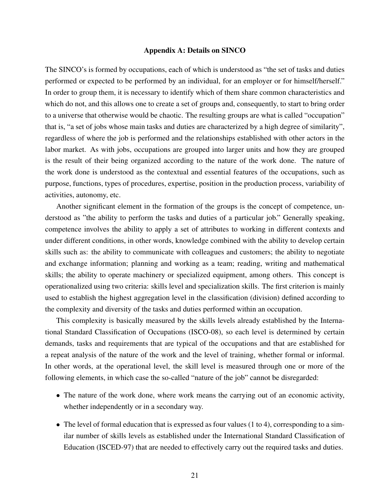#### Appendix A: Details on SINCO

The SINCO's is formed by occupations, each of which is understood as "the set of tasks and duties performed or expected to be performed by an individual, for an employer or for himself/herself." In order to group them, it is necessary to identify which of them share common characteristics and which do not, and this allows one to create a set of groups and, consequently, to start to bring order to a universe that otherwise would be chaotic. The resulting groups are what is called "occupation" that is, "a set of jobs whose main tasks and duties are characterized by a high degree of similarity", regardless of where the job is performed and the relationships established with other actors in the labor market. As with jobs, occupations are grouped into larger units and how they are grouped is the result of their being organized according to the nature of the work done. The nature of the work done is understood as the contextual and essential features of the occupations, such as purpose, functions, types of procedures, expertise, position in the production process, variability of activities, autonomy, etc.

Another significant element in the formation of the groups is the concept of competence, understood as "the ability to perform the tasks and duties of a particular job." Generally speaking, competence involves the ability to apply a set of attributes to working in different contexts and under different conditions, in other words, knowledge combined with the ability to develop certain skills such as: the ability to communicate with colleagues and customers; the ability to negotiate and exchange information; planning and working as a team; reading, writing and mathematical skills; the ability to operate machinery or specialized equipment, among others. This concept is operationalized using two criteria: skills level and specialization skills. The first criterion is mainly used to establish the highest aggregation level in the classification (division) defined according to the complexity and diversity of the tasks and duties performed within an occupation.

This complexity is basically measured by the skills levels already established by the International Standard Classification of Occupations (ISCO-08), so each level is determined by certain demands, tasks and requirements that are typical of the occupations and that are established for a repeat analysis of the nature of the work and the level of training, whether formal or informal. In other words, at the operational level, the skill level is measured through one or more of the following elements, in which case the so-called "nature of the job" cannot be disregarded:

- The nature of the work done, where work means the carrying out of an economic activity, whether independently or in a secondary way.
- The level of formal education that is expressed as four values (1 to 4), corresponding to a similar number of skills levels as established under the International Standard Classification of Education (ISCED-97) that are needed to effectively carry out the required tasks and duties.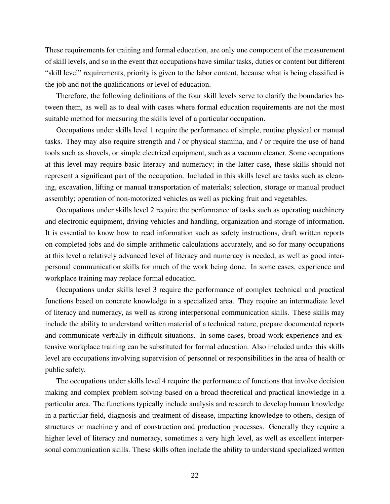These requirements for training and formal education, are only one component of the measurement of skill levels, and so in the event that occupations have similar tasks, duties or content but different "skill level" requirements, priority is given to the labor content, because what is being classified is the job and not the qualifications or level of education.

Therefore, the following definitions of the four skill levels serve to clarify the boundaries between them, as well as to deal with cases where formal education requirements are not the most suitable method for measuring the skills level of a particular occupation.

Occupations under skills level 1 require the performance of simple, routine physical or manual tasks. They may also require strength and / or physical stamina, and / or require the use of hand tools such as shovels, or simple electrical equipment, such as a vacuum cleaner. Some occupations at this level may require basic literacy and numeracy; in the latter case, these skills should not represent a significant part of the occupation. Included in this skills level are tasks such as cleaning, excavation, lifting or manual transportation of materials; selection, storage or manual product assembly; operation of non-motorized vehicles as well as picking fruit and vegetables.

Occupations under skills level 2 require the performance of tasks such as operating machinery and electronic equipment, driving vehicles and handling, organization and storage of information. It is essential to know how to read information such as safety instructions, draft written reports on completed jobs and do simple arithmetic calculations accurately, and so for many occupations at this level a relatively advanced level of literacy and numeracy is needed, as well as good interpersonal communication skills for much of the work being done. In some cases, experience and workplace training may replace formal education.

Occupations under skills level 3 require the performance of complex technical and practical functions based on concrete knowledge in a specialized area. They require an intermediate level of literacy and numeracy, as well as strong interpersonal communication skills. These skills may include the ability to understand written material of a technical nature, prepare documented reports and communicate verbally in difficult situations. In some cases, broad work experience and extensive workplace training can be substituted for formal education. Also included under this skills level are occupations involving supervision of personnel or responsibilities in the area of health or public safety.

The occupations under skills level 4 require the performance of functions that involve decision making and complex problem solving based on a broad theoretical and practical knowledge in a particular area. The functions typically include analysis and research to develop human knowledge in a particular field, diagnosis and treatment of disease, imparting knowledge to others, design of structures or machinery and of construction and production processes. Generally they require a higher level of literacy and numeracy, sometimes a very high level, as well as excellent interpersonal communication skills. These skills often include the ability to understand specialized written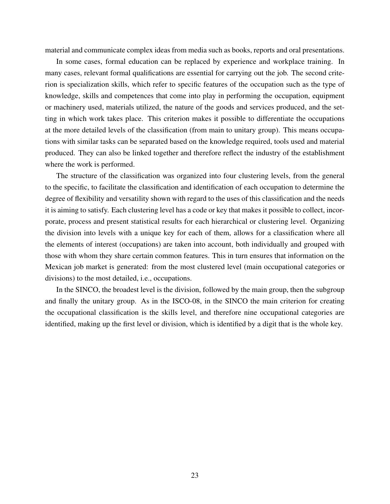material and communicate complex ideas from media such as books, reports and oral presentations.

In some cases, formal education can be replaced by experience and workplace training. In many cases, relevant formal qualifications are essential for carrying out the job. The second criterion is specialization skills, which refer to specific features of the occupation such as the type of knowledge, skills and competences that come into play in performing the occupation, equipment or machinery used, materials utilized, the nature of the goods and services produced, and the setting in which work takes place. This criterion makes it possible to differentiate the occupations at the more detailed levels of the classification (from main to unitary group). This means occupations with similar tasks can be separated based on the knowledge required, tools used and material produced. They can also be linked together and therefore reflect the industry of the establishment where the work is performed.

The structure of the classification was organized into four clustering levels, from the general to the specific, to facilitate the classification and identification of each occupation to determine the degree of flexibility and versatility shown with regard to the uses of this classification and the needs it is aiming to satisfy. Each clustering level has a code or key that makes it possible to collect, incorporate, process and present statistical results for each hierarchical or clustering level. Organizing the division into levels with a unique key for each of them, allows for a classification where all the elements of interest (occupations) are taken into account, both individually and grouped with those with whom they share certain common features. This in turn ensures that information on the Mexican job market is generated: from the most clustered level (main occupational categories or divisions) to the most detailed, i.e., occupations.

In the SINCO, the broadest level is the division, followed by the main group, then the subgroup and finally the unitary group. As in the ISCO-08, in the SINCO the main criterion for creating the occupational classification is the skills level, and therefore nine occupational categories are identified, making up the first level or division, which is identified by a digit that is the whole key.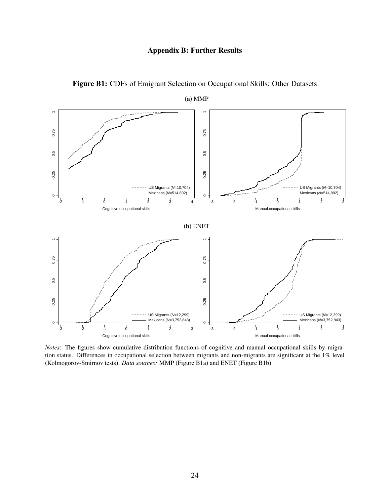# Appendix B: Further Results



Figure B1: CDFs of Emigrant Selection on Occupational Skills: Other Datasets

*Notes*: The figures show cumulative distribution functions of cognitive and manual occupational skills by migration status. Differences in occupational selection between migrants and non-migrants are significant at the 1% level (Kolmogorov-Smirnov tests). *Data sources:* MMP (Figure B1a) and ENET (Figure B1b).